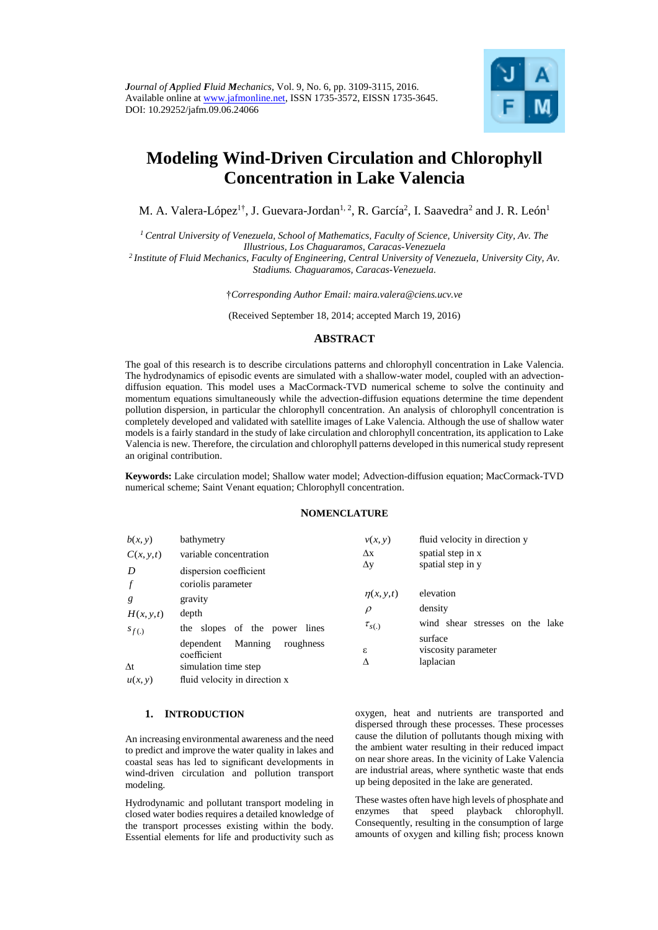

# **Modeling Wind-Driven Circulation and Chlorophyll Concentration in Lake Valencia**

M. A. Valera-López $^{1\dagger}$ , J. Guevara-Jordan $^{1,\,2}$ , R. García $^2$ , I. Saavedra $^2$  and J. R. León $^1$ 

*<sup>1</sup>Central University of Venezuela, School of Mathematics, Faculty of Science, University City, Av. The Illustrious, Los Chaguaramos, Caracas-Venezuela*

*<sup>2</sup>Institute of Fluid Mechanics, Faculty of Engineering, Central University of Venezuela, University City, Av. Stadiums. Chaguaramos, Caracas-Venezuela.*

†*Corresponding Author Email: maira.valera@ciens.ucv.ve*

(Received September 18, 2014; accepted March 19, 2016)

## **ABSTRACT**

The goal of this research is to describe circulations patterns and chlorophyll concentration in Lake Valencia. The hydrodynamics of episodic events are simulated with a shallow-water model, coupled with an advectiondiffusion equation. This model uses a MacCormack-TVD numerical scheme to solve the continuity and momentum equations simultaneously while the advection-diffusion equations determine the time dependent pollution dispersion, in particular the chlorophyll concentration. An analysis of chlorophyll concentration is completely developed and validated with satellite images of Lake Valencia. Although the use of shallow water models is a fairly standard in the study of lake circulation and chlorophyll concentration, its application to Lake Valencia is new. Therefore, the circulation and chlorophyll patterns developed in this numerical study represent an original contribution.

**Keywords:** Lake circulation model; Shallow water model; Advection-diffusion equation; MacCormack-TVD numerical scheme; Saint Venant equation; Chlorophyll concentration.

## **NOMENCLATURE**

| b(x, y)    | bathymetry                                                               | v(x, y)         | fluid velocity in direction y               |
|------------|--------------------------------------------------------------------------|-----------------|---------------------------------------------|
| C(x, y, t) | variable concentration                                                   | $\Delta x$      | spatial step in x                           |
| D          | dispersion coefficient                                                   | $\Delta y$      | spatial step in y                           |
|            | coriolis parameter                                                       |                 |                                             |
| g          | gravity                                                                  | $\eta(x, y, t)$ | elevation                                   |
| H(x, y, t) | depth                                                                    | $\rho$          | density                                     |
| $s_{f(.)}$ | the slopes of the power lines                                            | $\tau_{s(.)}$   | wind shear stresses on the lake             |
| $\Delta t$ | Manning<br>roughness<br>dependent<br>coefficient<br>simulation time step | ε<br>Δ          | surface<br>viscosity parameter<br>laplacian |
| u(x, y)    | fluid velocity in direction x                                            |                 |                                             |

#### **1. INTRODUCTION**

An increasing environmental awareness and the need to predict and improve the water quality in lakes and coastal seas has led to significant developments in wind-driven circulation and pollution transport modeling.

Hydrodynamic and pollutant transport modeling in closed water bodies requires a detailed knowledge of the transport processes existing within the body. Essential elements for life and productivity such as oxygen, heat and nutrients are transported and dispersed through these processes. These processes cause the dilution of pollutants though mixing with the ambient water resulting in their reduced impact on near shore areas. In the vicinity of Lake Valencia are industrial areas, where synthetic waste that ends up being deposited in the lake are generated.

These wastes often have high levels of phosphate and enzymes that speed playback chlorophyll. Consequently, resulting in the consumption of large amounts of oxygen and killing fish; process known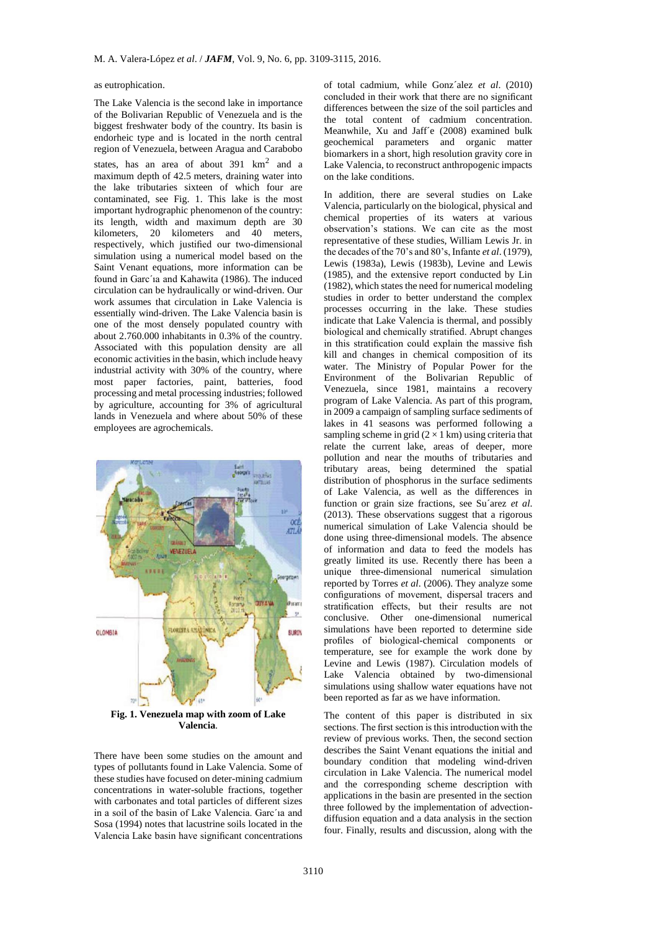#### as eutrophication.

The Lake Valencia is the second lake in importance of the Bolivarian Republic of Venezuela and is the biggest freshwater body of the country. Its basin is endorheic type and is located in the north central region of Venezuela, between Aragua and Carabobo states, has an area of about  $391 \text{ km}^2$  and a maximum depth of 42.5 meters, draining water into the lake tributaries sixteen of which four are contaminated, see Fig. 1. This lake is the most important hydrographic phenomenon of the country: its length, width and maximum depth are 30 kilometers, 20 kilometers and 40 meters, respectively, which justified our two-dimensional simulation using a numerical model based on the Saint Venant equations, more information can be found in Garc´ıa and Kahawita (1986). The induced circulation can be hydraulically or wind-driven. Our work assumes that circulation in Lake Valencia is essentially wind-driven. The Lake Valencia basin is one of the most densely populated country with about 2.760.000 inhabitants in 0.3% of the country. Associated with this population density are all economic activities in the basin, which include heavy industrial activity with 30% of the country, where most paper factories, paint, batteries, food processing and metal processing industries; followed by agriculture, accounting for 3% of agricultural lands in Venezuela and where about 50% of these employees are agrochemicals.



**Fig. 1. Venezuela map with zoom of Lake Valencia**.

There have been some studies on the amount and types of pollutants found in Lake Valencia. Some of these studies have focused on deter-mining cadmium concentrations in water-soluble fractions, together with carbonates and total particles of different sizes in a soil of the basin of Lake Valencia. Garc´ıa and Sosa (1994) notes that lacustrine soils located in the Valencia Lake basin have significant concentrations

of total cadmium, while Gonz´alez *et al*. (2010) concluded in their work that there are no significant differences between the size of the soil particles and the total content of cadmium concentration. Meanwhile, Xu and Jaff´e (2008) examined bulk geochemical parameters and organic matter biomarkers in a short, high resolution gravity core in Lake Valencia, to reconstruct anthropogenic impacts on the lake conditions.

In addition, there are several studies on Lake Valencia, particularly on the biological, physical and chemical properties of its waters at various observation's stations. We can cite as the most representative of these studies, William Lewis Jr. in the decades of the 70's and 80's, Infante *et al*. (1979), Lewis (1983a), Lewis (1983b), Levine and Lewis (1985), and the extensive report conducted by Lin (1982), which states the need for numerical modeling studies in order to better understand the complex processes occurring in the lake. These studies indicate that Lake Valencia is thermal, and possibly biological and chemically stratified. Abrupt changes in this stratification could explain the massive fish kill and changes in chemical composition of its water. The Ministry of Popular Power for the Environment of the Bolivarian Republic of Venezuela, since 1981, maintains a recovery program of Lake Valencia. As part of this program, in 2009 a campaign of sampling surface sediments of lakes in 41 seasons was performed following a sampling scheme in grid  $(2 \times 1 \text{ km})$  using criteria that relate the current lake, areas of deeper, more pollution and near the mouths of tributaries and tributary areas, being determined the spatial distribution of phosphorus in the surface sediments of Lake Valencia, as well as the differences in function or grain size fractions, see Su´arez *et al*. (2013). These observations suggest that a rigorous numerical simulation of Lake Valencia should be done using three-dimensional models. The absence of information and data to feed the models has greatly limited its use. Recently there has been a unique three-dimensional numerical simulation reported by Torres *et al*. (2006). They analyze some configurations of movement, dispersal tracers and stratification effects, but their results are not conclusive. Other one-dimensional numerical simulations have been reported to determine side profiles of biological-chemical components or temperature, see for example the work done by Levine and Lewis (1987). Circulation models of Lake Valencia obtained by two-dimensional simulations using shallow water equations have not been reported as far as we have information.

The content of this paper is distributed in six sections. The first section is this introduction with the review of previous works. Then, the second section describes the Saint Venant equations the initial and boundary condition that modeling wind-driven circulation in Lake Valencia. The numerical model and the corresponding scheme description with applications in the basin are presented in the section three followed by the implementation of advectiondiffusion equation and a data analysis in the section four. Finally, results and discussion, along with the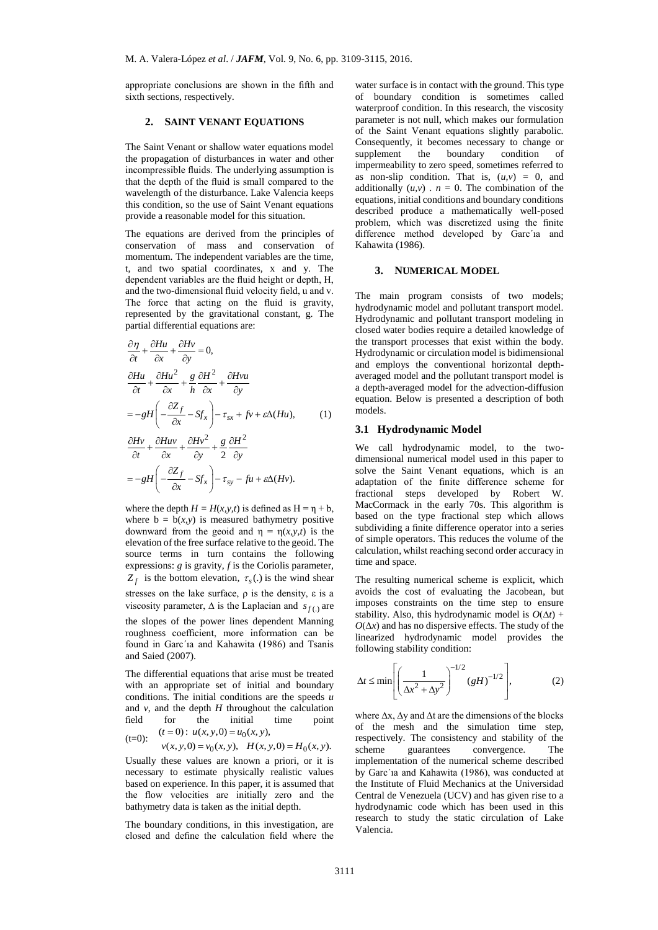appropriate conclusions are shown in the fifth and sixth sections, respectively.

#### **2. SAINT VENANT EQUATIONS**

The Saint Venant or shallow water equations model the propagation of disturbances in water and other incompressible fluids. The underlying assumption is that the depth of the fluid is small compared to the wavelength of the disturbance. Lake Valencia keeps this condition, so the use of Saint Venant equations provide a reasonable model for this situation.

The equations are derived from the principles of conservation of mass and conservation of momentum. The independent variables are the time, t, and two spatial coordinates, x and y. The dependent variables are the fluid height or depth, H, and the two-dimensional fluid velocity field, u and v. The force that acting on the fluid is gravity, represented by the gravitational constant, g. The partial differential equations are:

$$
\frac{\partial \eta}{\partial t} + \frac{\partial H u}{\partial x} + \frac{\partial H v}{\partial y} = 0,
$$
\n
$$
\frac{\partial H u}{\partial t} + \frac{\partial H u^2}{\partial x} + \frac{g}{h} \frac{\partial H^2}{\partial x} + \frac{\partial H v u}{\partial y}
$$
\n
$$
= -gH \left( -\frac{\partial Z_f}{\partial x} - Sf_x \right) - \tau_{sx} + f v + \varepsilon \Delta (H u), \qquad (1)
$$
\n
$$
\frac{\partial H v}{\partial t} + \frac{\partial H u v}{\partial x} + \frac{\partial H v^2}{\partial y} + \frac{g}{2} \frac{\partial H^2}{\partial y}
$$
\n
$$
= -gH \left( -\frac{\partial Z_f}{\partial x} - Sf_x \right) - \tau_{sy} - fu + \varepsilon \Delta (H v).
$$

where the depth  $H = H(x, y, t)$  is defined as  $H = \eta + b$ , where  $b = b(x, y)$  is measured bathymetry positive downward from the geoid and η = η(*x,y,t*) is the elevation of the free surface relative to the geoid. The source terms in turn contains the following expressions: *g* is gravity, *f* is the Coriolis parameter,  $Z_f$  is the bottom elevation,  $\tau_s(.)$  is the wind shear stresses on the lake surface,  $\rho$  is the density,  $\varepsilon$  is a viscosity parameter,  $\Delta$  is the Laplacian and  $s_{f(.)}$  are the slopes of the power lines dependent Manning roughness coefficient, more information can be found in Garc´ıa and Kahawita (1986) and Tsanis and Saied (2007).

The differential equations that arise must be treated with an appropriate set of initial and boundary conditions. The initial conditions are the speeds *u* and  $v$ , and the depth  $H$  throughout the calculation field for the initial time point  $(t=0)$ :  $u(x, y, 0) = u_0(x, y)$ ,

(t=0): 
$$
u(x, y, 0) = u_0(x, y)
$$
,  
\n $v(x, y, 0) = v_0(x, y)$ ,  $H(x, y, 0) = H_0(x, y)$ .

Usually these values are known a priori, or it is necessary to estimate physically realistic values based on experience. In this paper, it is assumed that the flow velocities are initially zero and the bathymetry data is taken as the initial depth.

The boundary conditions, in this investigation, are closed and define the calculation field where the water surface is in contact with the ground. This type of boundary condition is sometimes called waterproof condition. In this research, the viscosity parameter is not null, which makes our formulation of the Saint Venant equations slightly parabolic. Consequently, it becomes necessary to change or supplement the boundary condition of impermeability to zero speed, sometimes referred to as non-slip condition. That is,  $(u, v) = 0$ , and additionally  $(u, v)$ .  $n = 0$ . The combination of the equations, initial conditions and boundary conditions described produce a mathematically well-posed problem, which was discretized using the finite difference method developed by Garc´ıa and Kahawita (1986).

# **3. NUMERICAL MODEL**

The main program consists of two models; hydrodynamic model and pollutant transport model. Hydrodynamic and pollutant transport modeling in closed water bodies require a detailed knowledge of the transport processes that exist within the body. Hydrodynamic or circulation model is bidimensional and employs the conventional horizontal depthaveraged model and the pollutant transport model is a depth-averaged model for the advection-diffusion equation. Below is presented a description of both models.

## **3.1 Hydrodynamic Model**

We call hydrodynamic model, to the twodimensional numerical model used in this paper to solve the Saint Venant equations, which is an adaptation of the finite difference scheme for fractional steps developed by Robert W. MacCormack in the early 70s. This algorithm is based on the type fractional step which allows subdividing a finite difference operator into a series of simple operators. This reduces the volume of the calculation, whilst reaching second order accuracy in time and space.

The resulting numerical scheme is explicit, which avoids the cost of evaluating the Jacobean, but imposes constraints on the time step to ensure stability. Also, this hydrodynamic model is  $O(\Delta t)$  +  $O(\Delta x)$  and has no dispersive effects. The study of the linearized hydrodynamic model provides the following stability condition:

$$
\Delta t \le \min\left[\left(\frac{1}{\Delta x^2 + \Delta y^2}\right)^{-1/2} (gH)^{-1/2}\right],\tag{2}
$$

where ∆x, ∆y and ∆t are the dimensions of the blocks of the mesh and the simulation time step, respectively. The consistency and stability of the scheme guarantees convergence. The implementation of the numerical scheme described by Garc´ıa and Kahawita (1986), was conducted at the Institute of Fluid Mechanics at the Universidad Central de Venezuela (UCV) and has given rise to a hydrodynamic code which has been used in this research to study the static circulation of Lake Valencia.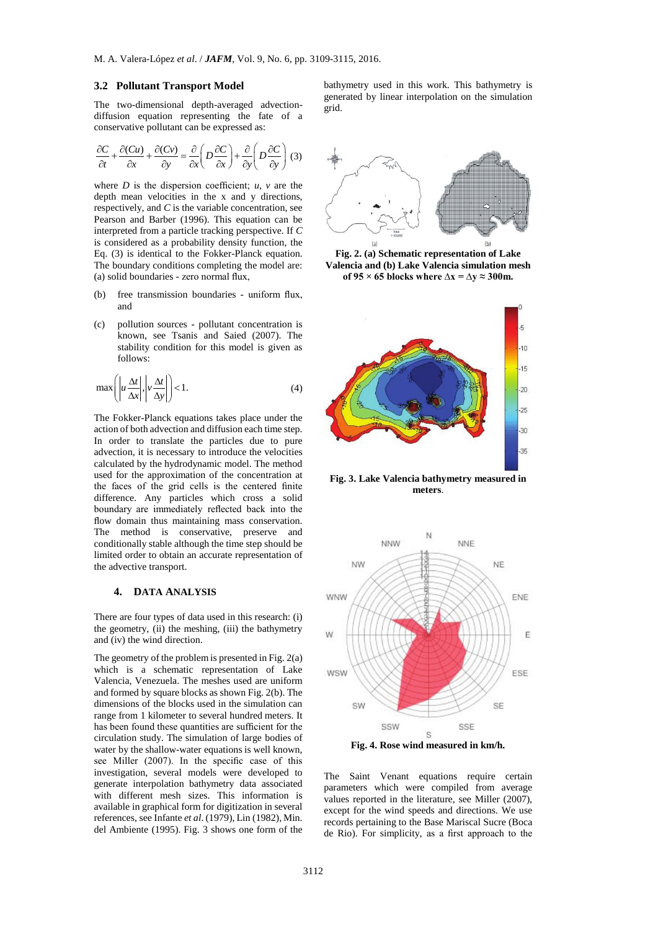#### **3.2 Pollutant Transport Model**

The two-dimensional depth-averaged advectiondiffusion equation representing the fate of a conservative pollutant can be expressed as:

$$
\frac{\partial C}{\partial t} + \frac{\partial (Cu)}{\partial x} + \frac{\partial (Cv)}{\partial y} = \frac{\partial}{\partial x} \left( D \frac{\partial C}{\partial x} \right) + \frac{\partial}{\partial y} \left( D \frac{\partial C}{\partial y} \right) (3)
$$

where  $D$  is the dispersion coefficient;  $u$ ,  $v$  are the depth mean velocities in the x and y directions, respectively, and *C* is the variable concentration, see Pearson and Barber (1996). This equation can be interpreted from a particle tracking perspective. If *C* is considered as a probability density function, the Eq. (3) is identical to the Fokker-Planck equation. The boundary conditions completing the model are: (a) solid boundaries - zero normal flux,

- (b) free transmission boundaries uniform flux, and
- (c) pollution sources pollutant concentration is known, see Tsanis and Saied (2007). The stability condition for this model is given as follows:

$$
\max\left(\left|u\frac{\Delta t}{\Delta x}\right|, \left|v\frac{\Delta t}{\Delta y}\right|\right) < 1. \tag{4}
$$

The Fokker-Planck equations takes place under the action of both advection and diffusion each time step. In order to translate the particles due to pure advection, it is necessary to introduce the velocities calculated by the hydrodynamic model. The method used for the approximation of the concentration at the faces of the grid cells is the centered finite difference. Any particles which cross a solid boundary are immediately reflected back into the flow domain thus maintaining mass conservation. The method is conservative, preserve and conditionally stable although the time step should be limited order to obtain an accurate representation of the advective transport.

# **4. DATA ANALYSIS**

There are four types of data used in this research: (i) the geometry, (ii) the meshing, (iii) the bathymetry and (iv) the wind direction.

The geometry of the problem is presented in Fig. 2(a) which is a schematic representation of Lake Valencia, Venezuela. The meshes used are uniform and formed by square blocks as shown Fig. 2(b). The dimensions of the blocks used in the simulation can range from 1 kilometer to several hundred meters. It has been found these quantities are sufficient for the circulation study. The simulation of large bodies of water by the shallow-water equations is well known, see Miller (2007). In the specific case of this investigation, several models were developed to generate interpolation bathymetry data associated with different mesh sizes. This information is available in graphical form for digitization in several references, see Infante *et al*. (1979), Lin (1982), Min. del Ambiente (1995). Fig. 3 shows one form of the bathymetry used in this work. This bathymetry is generated by linear interpolation on the simulation grid.



**Fig. 2. (a) Schematic representation of Lake Valencia and (b) Lake Valencia simulation mesh**  of 95 × 65 blocks where  $\Delta x = \Delta y \approx 300$ m.



**Fig. 3. Lake Valencia bathymetry measured in meters**.



**Fig. 4. Rose wind measured in km/h.**

The Saint Venant equations require certain parameters which were compiled from average values reported in the literature, see Miller (2007), except for the wind speeds and directions. We use records pertaining to the Base Mariscal Sucre (Boca de Rio). For simplicity, as a first approach to the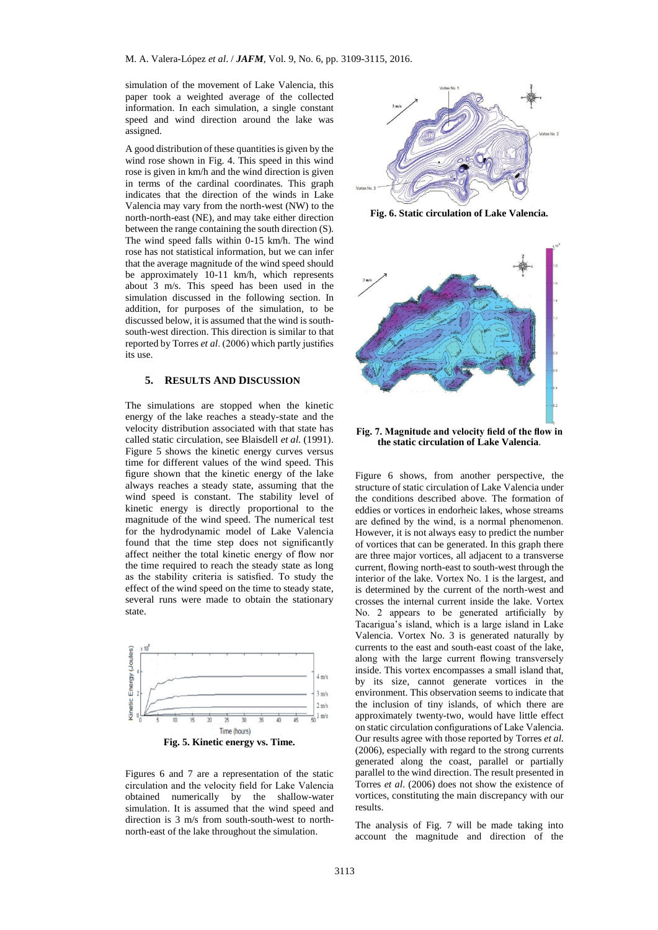simulation of the movement of Lake Valencia, this paper took a weighted average of the collected information. In each simulation, a single constant speed and wind direction around the lake was assigned.

A good distribution of these quantities is given by the wind rose shown in Fig. 4. This speed in this wind rose is given in km/h and the wind direction is given in terms of the cardinal coordinates. This graph indicates that the direction of the winds in Lake Valencia may vary from the north-west (NW) to the north-north-east (NE), and may take either direction between the range containing the south direction (S). The wind speed falls within 0-15 km/h. The wind rose has not statistical information, but we can infer that the average magnitude of the wind speed should be approximately 10-11 km/h, which represents about 3 m/s. This speed has been used in the simulation discussed in the following section. In addition, for purposes of the simulation, to be discussed below, it is assumed that the wind is southsouth-west direction. This direction is similar to that reported by Torres *et al*. (2006) which partly justifies its use.

# **5. RESULTS AND DISCUSSION**

The simulations are stopped when the kinetic energy of the lake reaches a steady-state and the velocity distribution associated with that state has called static circulation, see Blaisdell *et al.* (1991). Figure 5 shows the kinetic energy curves versus time for different values of the wind speed. This figure shown that the kinetic energy of the lake always reaches a steady state, assuming that the wind speed is constant. The stability level of kinetic energy is directly proportional to the magnitude of the wind speed. The numerical test for the hydrodynamic model of Lake Valencia found that the time step does not significantly affect neither the total kinetic energy of flow nor the time required to reach the steady state as long as the stability criteria is satisfied. To study the effect of the wind speed on the time to steady state, several runs were made to obtain the stationary state.



Figures 6 and 7 are a representation of the static circulation and the velocity field for Lake Valencia obtained numerically by the shallow-water simulation. It is assumed that the wind speed and direction is 3 m/s from south-south-west to northnorth-east of the lake throughout the simulation.



**Fig. 6. Static circulation of Lake Valencia.**



**Fig. 7. Magnitude and velocity field of the flow in the static circulation of Lake Valencia**.

Figure 6 shows, from another perspective, the structure of static circulation of Lake Valencia under the conditions described above. The formation of eddies or vortices in endorheic lakes, whose streams are defined by the wind, is a normal phenomenon. However, it is not always easy to predict the number of vortices that can be generated. In this graph there are three major vortices, all adjacent to a transverse current, flowing north-east to south-west through the interior of the lake. Vortex No. 1 is the largest, and is determined by the current of the north-west and crosses the internal current inside the lake. Vortex No. 2 appears to be generated artificially by Tacarigua's island, which is a large island in Lake Valencia. Vortex No. 3 is generated naturally by currents to the east and south-east coast of the lake, along with the large current flowing transversely inside. This vortex encompasses a small island that, by its size, cannot generate vortices in the environment. This observation seems to indicate that the inclusion of tiny islands, of which there are approximately twenty-two, would have little effect on static circulation configurations of Lake Valencia. Our results agree with those reported by Torres *et al*. (2006), especially with regard to the strong currents generated along the coast, parallel or partially parallel to the wind direction. The result presented in Torres *et al*. (2006) does not show the existence of vortices, constituting the main discrepancy with our results.

The analysis of Fig. 7 will be made taking into account the magnitude and direction of the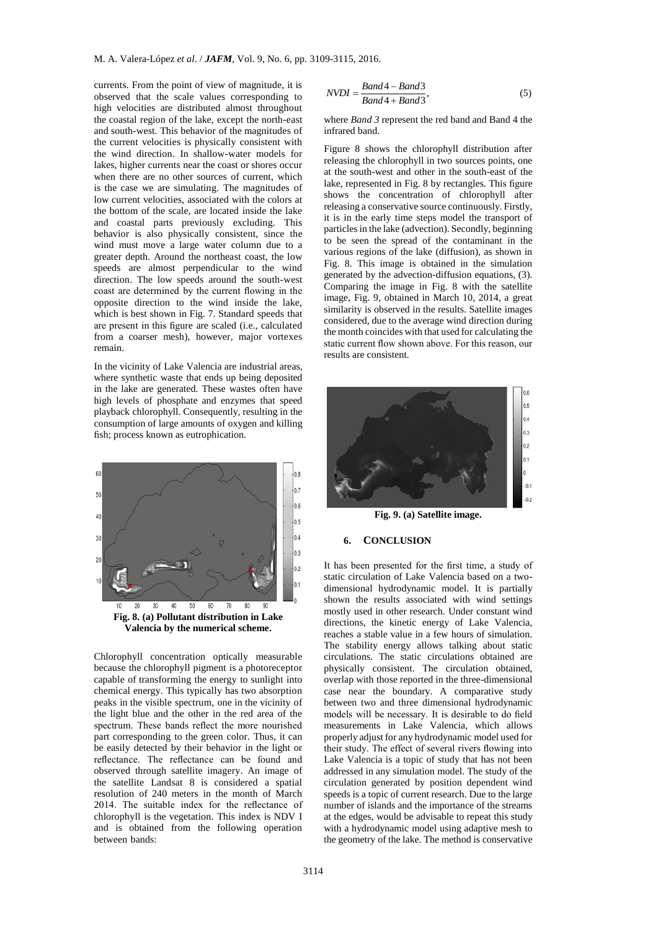currents. From the point of view of magnitude, it is observed that the scale values corresponding to high velocities are distributed almost throughout the coastal region of the lake, except the north-east and south-west. This behavior of the magnitudes of the current velocities is physically consistent with the wind direction. In shallow-water models for lakes, higher currents near the coast or shores occur when there are no other sources of current, which is the case we are simulating. The magnitudes of low current velocities, associated with the colors at the bottom of the scale, are located inside the lake and coastal parts previously excluding. This behavior is also physically consistent, since the wind must move a large water column due to a greater depth. Around the northeast coast, the low speeds are almost perpendicular to the wind direction. The low speeds around the south-west coast are determined by the current flowing in the opposite direction to the wind inside the lake, which is best shown in Fig. 7. Standard speeds that are present in this figure are scaled (i.e., calculated from a coarser mesh), however, major vortexes remain.

In the vicinity of Lake Valencia are industrial areas, where synthetic waste that ends up being deposited in the lake are generated. These wastes often have high levels of phosphate and enzymes that speed playback chlorophyll. Consequently, resulting in the consumption of large amounts of oxygen and killing fish; process known as eutrophication.



Chlorophyll concentration optically measurable because the chlorophyll pigment is a photoreceptor capable of transforming the energy to sunlight into chemical energy. This typically has two absorption peaks in the visible spectrum, one in the vicinity of the light blue and the other in the red area of the spectrum. These bands reflect the more nourished part corresponding to the green color. Thus, it can be easily detected by their behavior in the light or reflectance. The reflectance can be found and observed through satellite imagery. An image of the satellite Landsat 8 is considered a spatial resolution of 240 meters in the month of March 2014. The suitable index for the reflectance of chlorophyll is the vegetation. This index is NDV I and is obtained from the following operation between bands:

$$
NVDI = \frac{Band4 - Band3}{Band4 + Band3},
$$
\n(5)

where *Band 3* represent the red band and Band 4 the infrared band.

Figure 8 shows the chlorophyll distribution after releasing the chlorophyll in two sources points, one at the south-west and other in the south-east of the lake, represented in Fig. 8 by rectangles. This figure shows the concentration of chlorophyll after releasing a conservative source continuously. Firstly, it is in the early time steps model the transport of particles in the lake (advection). Secondly, beginning to be seen the spread of the contaminant in the various regions of the lake (diffusion), as shown in Fig. 8. This image is obtained in the simulation generated by the advection-diffusion equations, (3). Comparing the image in Fig. 8 with the satellite image, Fig. 9, obtained in March 10, 2014, a great similarity is observed in the results. Satellite images considered, due to the average wind direction during the month coincides with that used for calculating the static current flow shown above. For this reason, our results are consistent.



**Fig. 9. (a) Satellite image.**

#### **6. CONCLUSION**

It has been presented for the first time, a study of static circulation of Lake Valencia based on a twodimensional hydrodynamic model. It is partially shown the results associated with wind settings mostly used in other research. Under constant wind directions, the kinetic energy of Lake Valencia, reaches a stable value in a few hours of simulation. The stability energy allows talking about static circulations. The static circulations obtained are physically consistent. The circulation obtained, overlap with those reported in the three-dimensional case near the boundary. A comparative study between two and three dimensional hydrodynamic models will be necessary. It is desirable to do field measurements in Lake Valencia, which allows properly adjust for any hydrodynamic model used for their study. The effect of several rivers flowing into Lake Valencia is a topic of study that has not been addressed in any simulation model. The study of the circulation generated by position dependent wind speeds is a topic of current research. Due to the large number of islands and the importance of the streams at the edges, would be advisable to repeat this study with a hydrodynamic model using adaptive mesh to the geometry of the lake. The method is conservative